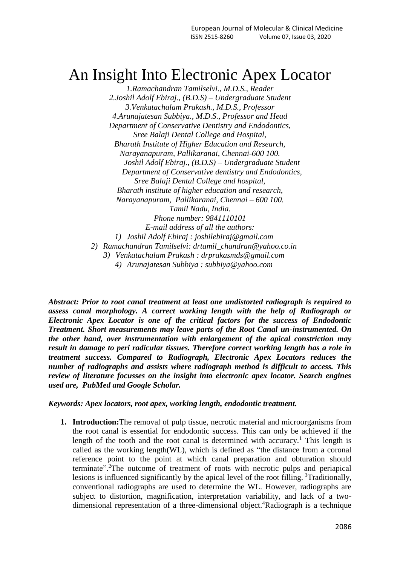# An Insight Into Electronic Apex Locator

*1.Ramachandran Tamilselvi., M.D.S., Reader 2.Joshil Adolf Ebiraj., (B.D.S) – Undergraduate Student 3.Venkatachalam Prakash., M.D.S., Professor 4.Arunajatesan Subbiya., M.D.S., Professor and Head Department of Conservative Dentistry and Endodontics, Sree Balaji Dental College and Hospital, Bharath Institute of Higher Education and Research, Narayanapuram, Pallikaranai, Chennai-600 100. Joshil Adolf Ebiraj., (B.D.S) – Undergraduate Student Department of Conservative dentistry and Endodontics, Sree Balaji Dental College and hospital, Bharath institute of higher education and research, Narayanapuram, Pallikaranai, Chennai – 600 100. Tamil Nadu, India. Phone number: 9841110101 E-mail address of all the authors: 1) Joshil Adolf Ebiraj : [joshilebiraj@gmail.com](mailto:joshilebiraj@gmail.com) 2) Ramachandran Tamilselvi: [drtamil\\_chandran@yahoo.co.in](mailto:drtamil_chandran@yahoo.co.in) 3) Venkatachalam Prakash : [drprakasmds@gmail.com](mailto:drprakasmds@gmail.com) 4) Arunajatesan Subbiya : subbiya@yahoo.com*

*Abstract: Prior to root canal treatment at least one undistorted radiograph is required to assess canal morphology. A correct working length with the help of Radiograph or Electronic Apex Locator is one of the critical factors for the success of Endodontic Treatment. Short measurements may leave parts of the Root Canal un-instrumented. On the other hand, over instrumentation with enlargement of the apical constriction may result in damage to peri radicular tissues. Therefore correct working length has a role in treatment success. Compared to Radiograph, Electronic Apex Locators reduces the number of radiographs and assists where radiograph method is difficult to access. This review of literature focusses on the insight into electronic apex locator. Search engines used are, PubMed and Google Scholar.*

*Keywords: Apex locators, root apex, working length, endodontic treatment.*

**1. Introduction:**The removal of pulp tissue, necrotic material and microorganisms from the root canal is essential for endodontic success. This can only be achieved if the length of the tooth and the root canal is determined with accuracy.<sup>1</sup> This length is called as the working length(WL), which is defined as "the distance from a coronal reference point to the point at which canal preparation and obturation should terminate".<sup>2</sup>The outcome of treatment of roots with necrotic pulps and periapical lesions is influenced significantly by the apical level of the root filling. <sup>3</sup>Traditionally, conventional radiographs are used to determine the WL. However, radiographs are subject to distortion, magnification, interpretation variability, and lack of a twodimensional representation of a three-dimensional object.<sup>4</sup>Radiograph is a technique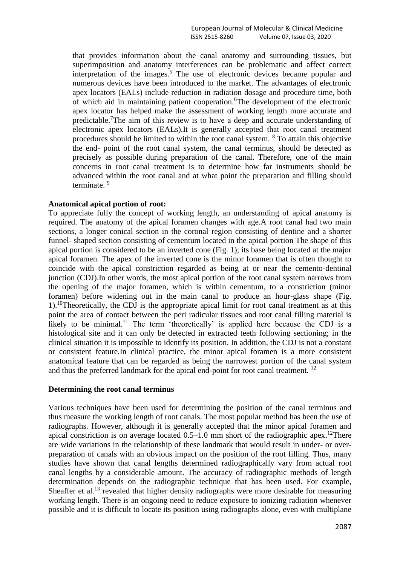that provides information about the canal anatomy and surrounding tissues, but superimposition and anatomy interferences can be problematic and affect correct interpretation of the images.<sup>5</sup> The use of electronic devices became popular and numerous devices have been introduced to the market. The advantages of electronic apex locators (EALs) include reduction in radiation dosage and procedure time, both of which aid in maintaining patient cooperation.<sup>6</sup>The development of the electronic apex locator has helped make the assessment of working length more accurate and predictable.<sup>7</sup>The aim of this review is to have a deep and accurate understanding of electronic apex locators (EALs).It is generally accepted that root canal treatment procedures should be limited to within the root canal system. <sup>8</sup> To attain this objective the end- point of the root canal system, the canal terminus, should be detected as precisely as possible during preparation of the canal. Therefore, one of the main concerns in root canal treatment is to determine how far instruments should be advanced within the root canal and at what point the preparation and filling should terminate. <sup>9</sup>

#### **Anatomical apical portion of root:**

To appreciate fully the concept of working length, an understanding of apical anatomy is required. The anatomy of the apical foramen changes with age.A root canal had two main sections, a longer conical section in the coronal region consisting of dentine and a shorter funnel- shaped section consisting of cementum located in the apical portion The shape of this apical portion is considered to be an inverted cone (Fig. 1); its base being located at the major apical foramen. The apex of the inverted cone is the minor foramen that is often thought to coincide with the apical constriction regarded as being at or near the cemento-dentinal junction (CDJ).In other words, the most apical portion of the root canal system narrows from the opening of the major foramen, which is within cementum, to a constriction (minor foramen) before widening out in the main canal to produce an hour-glass shape (Fig.  $1$ .<sup>10</sup>Theoretically, the CDJ is the appropriate apical limit for root canal treatment as at this point the area of contact between the peri radicular tissues and root canal filling material is likely to be minimal.<sup>11</sup> The term 'theoretically' is applied here because the CDJ is a histological site and it can only be detected in extracted teeth following sectioning; in the clinical situation it is impossible to identify its position. In addition, the CDJ is not a constant or consistent feature.In clinical practice, the minor apical foramen is a more consistent anatomical feature that can be regarded as being the narrowest portion of the canal system and thus the preferred landmark for the apical end-point for root canal treatment. <sup>12</sup>

## **Determining the root canal terminus**

Various techniques have been used for determining the position of the canal terminus and thus measure the working length of root canals. The most popular method has been the use of radiographs. However, although it is generally accepted that the minor apical foramen and apical constriction is on average located  $0.5-1.0$  mm short of the radiographic apex.<sup>12</sup>There are wide variations in the relationship of these landmark that would result in under- or overpreparation of canals with an obvious impact on the position of the root filling. Thus, many studies have shown that canal lengths determined radiographically vary from actual root canal lengths by a considerable amount. The accuracy of radiographic methods of length determination depends on the radiographic technique that has been used. For example, Sheaffer et al.<sup>13</sup> revealed that higher density radiographs were more desirable for measuring working length. There is an ongoing need to reduce exposure to ionizing radiation whenever possible and it is difficult to locate its position using radiographs alone, even with multiplane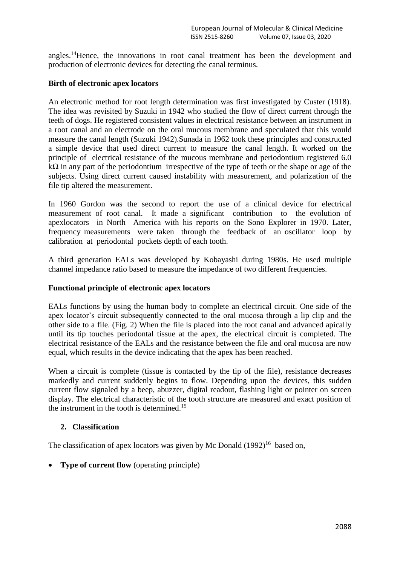angles. <sup>14</sup>Hence, the innovations in root canal treatment has been the development and production of electronic devices for detecting the canal terminus.

# **Birth of electronic apex locators**

An electronic method for root length determination was first investigated by Custer (1918). The idea was revisited by Suzuki in 1942 who studied the flow of direct current through the teeth of dogs. He registered consistent values in electrical resistance between an instrument in a root canal and an electrode on the oral mucous membrane and speculated that this would measure the canal length (Suzuki 1942).Sunada in 1962 took these principles and constructed a simple device that used direct current to measure the canal length. It worked on the principle of electrical resistance of the mucous membrane and periodontium registered 6.0  $k\Omega$  in any part of the periodontium irrespective of the type of teeth or the shape or age of the subjects. Using direct current caused instability with measurement, and polarization of the file tip altered the measurement.

In 1960 Gordon was the second to report the use of a clinical device for electrical measurement of root canal. It made a significant contribution to the evolution of apexlocators in North America with his reports on the Sono Explorer in 1970. Later, frequency measurements were taken through the feedback of an oscillator loop by calibration at periodontal pockets depth of each tooth.

A third generation EALs was developed by Kobayashi during 1980s. He used multiple channel impedance ratio based to measure the impedance of two different frequencies.

## **Functional principle of electronic apex locators**

EALs functions by using the human body to complete an electrical circuit. One side of the apex locator's circuit subsequently connected to the oral mucosa through a lip clip and the other side to a file. (Fig. 2) When the file is placed into the root canal and advanced apically until its tip touches periodontal tissue at the apex, the electrical circuit is completed. The electrical resistance of the EALs and the resistance between the file and oral mucosa are now equal, which results in the device indicating that the apex has been reached.

When a circuit is complete (tissue is contacted by the tip of the file), resistance decreases markedly and current suddenly begins to flow. Depending upon the devices, this sudden current flow signaled by a beep, abuzzer, digital readout, flashing light or pointer on screen display. The electrical characteristic of the tooth structure are measured and exact position of the instrument in the tooth is determined.<sup>15</sup>

## **2. Classification**

The classification of apex locators was given by Mc Donald  $(1992)^{16}$  based on,

**Type of current flow** (operating principle)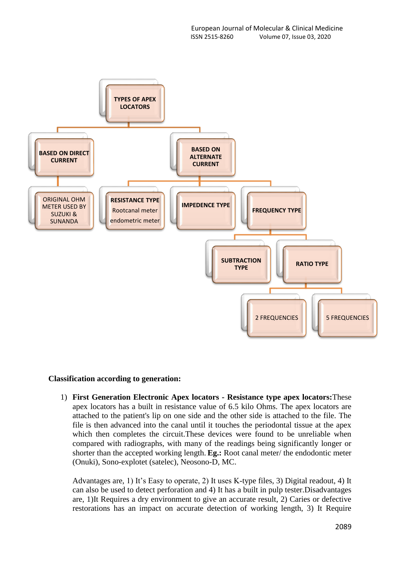

#### **Classification according to generation:**

1) **First Generation Electronic Apex locators - Resistance type apex locators:**These apex locators has a built in resistance value of 6.5 kilo Ohms. The apex locators are attached to the patient's lip on one side and the other side is attached to the file. The file is then advanced into the canal until it touches the periodontal tissue at the apex which then completes the circuit.These devices were found to be unreliable when compared with radiographs, with many of the readings being significantly longer or shorter than the accepted working length. **Eg.:** Root canal meter/ the endodontic meter (Onuki), Sono-explotet (satelec), Neosono-D, MC.

Advantages are, 1) It's Easy to operate, 2) It uses K-type files, 3) Digital readout, 4) It can also be used to detect perforation and 4) It has a built in pulp tester.Disadvantages are, 1)It Requires a dry environment to give an accurate result, 2) Caries or defective restorations has an impact on accurate detection of working length, 3) It Require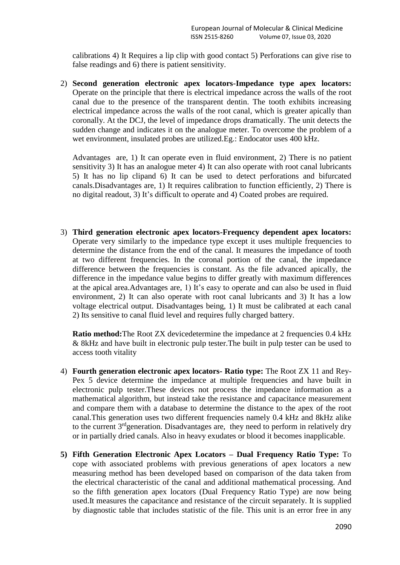calibrations 4) It Requires a lip clip with good contact 5) Perforations can give rise to false readings and 6) there is patient sensitivity.

2) **Second generation electronic apex locators-Impedance type apex locators:** Operate on the principle that there is electrical impedance across the walls of the root canal due to the presence of the transparent dentin. The tooth exhibits increasing electrical impedance across the walls of the root canal, which is greater apically than coronally. At the DCJ, the level of impedance drops dramatically. The unit detects the sudden change and indicates it on the analogue meter. To overcome the problem of a wet environment, insulated probes are utilized.Eg.: Endocator uses 400 kHz.

Advantages are, 1) It can operate even in fluid environment, 2) There is no patient sensitivity 3) It has an analogue meter 4) It can also operate with root canal lubricants 5) It has no lip clipand 6) It can be used to detect perforations and bifurcated canals.Disadvantages are, 1) It requires calibration to function efficiently, 2) There is no digital readout, 3) It's difficult to operate and 4) Coated probes are required.

3) **Third generation electronic apex locators-Frequency dependent apex locators:**  Operate very similarly to the impedance type except it uses multiple frequencies to determine the distance from the end of the canal. It measures the impedance of tooth at two different frequencies. In the coronal portion of the canal, the impedance difference between the frequencies is constant. As the file advanced apically, the difference in the impedance value begins to differ greatly with maximum differences at the apical area.Advantages are, 1) It's easy to operate and can also be used in fluid environment, 2) It can also operate with root canal lubricants and 3) It has a low voltage electrical output. Disadvantages being, 1) It must be calibrated at each canal 2) Its sensitive to canal fluid level and requires fully charged battery.

**Ratio method:** The Root ZX devicedetermine the impedance at 2 frequencies 0.4 kHz & 8kHz and have built in electronic pulp tester.The built in pulp tester can be used to access tooth vitality

- 4) **Fourth generation electronic apex locators- Ratio type:** The Root ZX 11 and Rey-Pex 5 device determine the impedance at multiple frequencies and have built in electronic pulp tester.These devices not process the impedance information as a mathematical algorithm, but instead take the resistance and capacitance measurement and compare them with a database to determine the distance to the apex of the root canal.This generation uses two different frequencies namely 0.4 kHz and 8kHz alike to the current 3<sup>rd</sup>generation. Disadvantages are, they need to perform in relatively dry or in partially dried canals. Also in heavy exudates or blood it becomes inapplicable.
- **5) Fifth Generation Electronic Apex Locators – Dual Frequency Ratio Type:** To cope with associated problems with previous generations of apex locators a new measuring method has been developed based on comparison of the data taken from the electrical characteristic of the canal and additional mathematical processing. And so the fifth generation apex locators (Dual Frequency Ratio Type) are now being used.It measures the capacitance and resistance of the circuit separately. It is supplied by diagnostic table that includes statistic of the file. This unit is an error free in any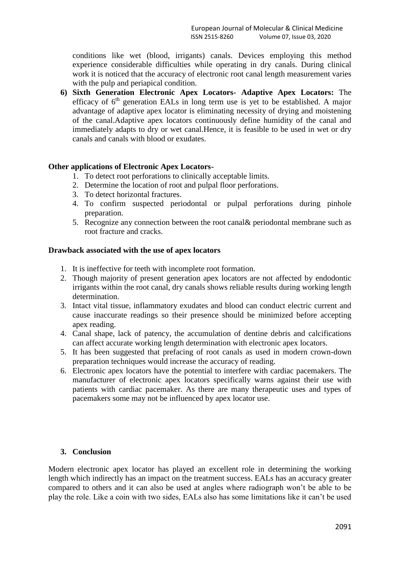conditions like wet (blood, irrigants) canals. Devices employing this method experience considerable difficulties while operating in dry canals. During clinical work it is noticed that the accuracy of electronic root canal length measurement varies with the pulp and periapical condition.

**6) Sixth Generation Electronic Apex Locators- Adaptive Apex Locators:** The efficacy of  $6<sup>th</sup>$  generation EALs in long term use is yet to be established. A major advantage of adaptive apex locator is eliminating necessity of drying and moistening of the canal.Adaptive apex locators continuously define humidity of the canal and immediately adapts to dry or wet canal.Hence, it is feasible to be used in wet or dry canals and canals with blood or exudates.

## **Other applications of Electronic Apex Locators-**

- 1. To detect root perforations to clinically acceptable limits.
- 2. Determine the location of root and pulpal floor perforations.
- 3. To detect horizontal fractures.
- 4. To confirm suspected periodontal or pulpal perforations during pinhole preparation.
- 5. Recognize any connection between the root canal& periodontal membrane such as root fracture and cracks.

#### **Drawback associated with the use of apex locators**

- 1. It is ineffective for teeth with incomplete root formation.
- 2. Though majority of present generation apex locators are not affected by endodontic irrigants within the root canal, dry canals shows reliable results during working length determination.
- 3. Intact vital tissue, inflammatory exudates and blood can conduct electric current and cause inaccurate readings so their presence should be minimized before accepting apex reading.
- 4. Canal shape, lack of patency, the accumulation of dentine debris and calcifications can affect accurate working length determination with electronic apex locators.
- 5. It has been suggested that prefacing of root canals as used in modern crown-down preparation techniques would increase the accuracy of reading.
- 6. Electronic apex locators have the potential to interfere with cardiac pacemakers. The manufacturer of electronic apex locators specifically warns against their use with patients with cardiac pacemaker. As there are many therapeutic uses and types of pacemakers some may not be influenced by apex locator use.

## **3. Conclusion**

Modern electronic apex locator has played an excellent role in determining the working length which indirectly has an impact on the treatment success. EALs has an accuracy greater compared to others and it can also be used at angles where radiograph won't be able to be play the role. Like a coin with two sides, EALs also has some limitations like it can't be used